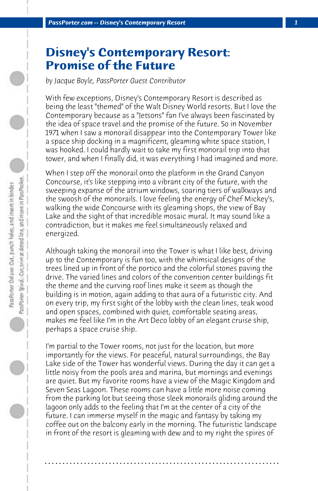## **Disney's Contemporary Resort: Promise of the Future**

*by Jacque Boyle, PassPorter Guest Contributor*

With few exceptions, Disney's Contemporary Resort is described as being the least "themed" of the Walt Disney World resorts. But I love the Contemporary because as a "Jetsons" fan I've always been fascinated by the idea of space travel and the promise of the future. So in November 1971 when I saw a monorail disappear into the Contemporary Tower like a space ship docking in a magnificent, gleaming white space station, I was hooked. I could hardly wait to take my first monorail trip into that tower, and when I finally did, it was everything I had imagined and more.

When I step off the monorail onto the platform in the Grand Canyon Concourse, it's like stepping into a vibrant city of the future, with the sweeping expanse of the atrium windows, soaring tiers of walkways and the swoosh of the monorails. I love feeling the energy of Chef Mickey's, walking the wide Concourse with its gleaming shops, the view of Bay Lake and the sight of that incredible mosaic mural. It may sound like a contradiction, but it makes me feel simultaneously relaxed and energized.

Although taking the monorail into the Tower is what I like best, driving up to the Contemporary is fun too, with the whimsical designs of the trees lined up in front of the portico and the colorful stones paving the drive. The varied lines and colors of the convention center buildings fit the theme and the curving roof lines make it seem as though the building is in motion, again adding to that aura of a futuristic city. And on every trip, my first sight of the lobby with the clean lines, teak wood and open spaces, combined with quiet, comfortable seating areas, makes me feel like I'm in the Art Deco lobby of an elegant cruise ship, perhaps a space cruise ship.

I'm partial to the Tower rooms, not just for the location, but more importantly for the views. For peaceful, natural surroundings, the Bay Lake side of the Tower has wonderful views. During the day it can get a little noisy from the pools area and marina, but mornings and evenings are quiet. But my favorite rooms have a view of the Magic Kingdom and Seven Seas Lagoon. These rooms can have a little more noise coming from the parking lot but seeing those sleek monorails gliding around the lagoon only adds to the feeling that I'm at the center of a city of the future. I can immerse myself in the magic and fantasy by taking my coffee out on the balcony early in the morning. The futuristic landscape in front of the resort is gleaming with dew and to my right the spires of

**. . . . . . . . . . . . . . . . . . . . . . . . . . . . . . . . . . . . . . . . . . . . . . . . . . . . . . . . . . . . . . . . . .**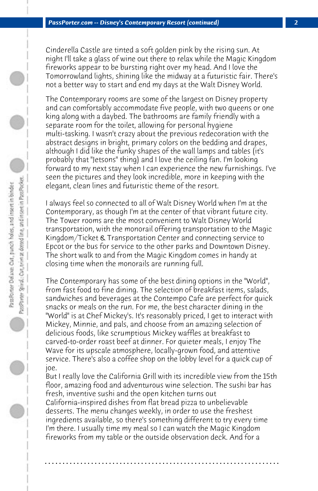Cinderella Castle are tinted a soft golden pink by the rising sun. At night I'll take a glass of wine out there to relax while the Magic Kingdom fireworks appear to be bursting right over my head. And I love the Tomorrowland lights, shining like the midway at a futuristic fair. There's not a better way to start and end my days at the Walt Disney World.

The Contemporary rooms are some of the largest on Disney property and can comfortably accommodate five people, with two queens or one king along with a daybed. The bathrooms are family friendly with a separate room for the toilet, allowing for personal hygiene multi-tasking. I wasn't crazy about the previous redecoration with the abstract designs in bright, primary colors on the bedding and drapes, although I did like the funky shapes of the wall lamps and tables (it's probably that "Jetsons" thing) and I love the ceiling fan. I'm looking forward to my next stay when I can experience the new furnishings. I've seen the pictures and they look incredible, more in keeping with the elegant, clean lines and futuristic theme of the resort.

I always feel so connected to all of Walt Disney World when I'm at the Contemporary, as though I'm at the center of that vibrant future city. The Tower rooms are the most convenient to Walt Disney World transportation, with the monorail offering transportation to the Magic Kingdom/Ticket & Transportation Center and connecting service to Epcot or the bus for service to the other parks and Downtown Disney. The short walk to and from the Magic Kingdom comes in handy at closing time when the monorails are running full.

The Contemporary has some of the best dining options in the "World", from fast food to fine dining. The selection of breakfast items, salads, sandwiches and beverages at the Contempo Cafe are perfect for quick snacks or meals on the run. For me, the best character dining in the "World" is at Chef Mickey's. It's reasonably priced, I get to interact with Mickey, Minnie, and pals, and choose from an amazing selection of delicious foods, like scrumptious Mickey waffles at breakfast to carved-to-order roast beef at dinner. For quieter meals, I enjoy The Wave for its upscale atmosphere, locally-grown food, and attentive service. There's also a coffee shop on the lobby level for a quick cup of joe.

But I really love the California Grill with its incredible view from the 15th floor, amazing food and adventurous wine selection. The sushi bar has fresh, inventive sushi and the open kitchen turns out

California-inspired dishes from flat bread pizza to unbelievable desserts. The menu changes weekly, in order to use the freshest ingredients available, so there's something different to try every time I'm there. I usually time my meal so I can watch the Magic Kingdom fireworks from my table or the outside observation deck. And for a

**. . . . . . . . . . . . . . . . . . . . . . . . . . . . . . . . . . . . . . . . . . . . . . . . . . . . . . . . . . . . . . . . . .**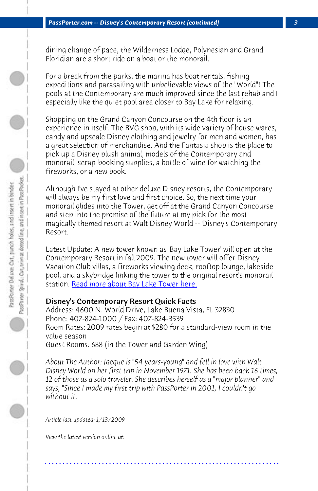dining change of pace, the Wilderness Lodge, Polynesian and Grand Floridian are a short ride on a boat or the monorail.

For a break from the parks, the marina has boat rentals, fishing expeditions and parasailing with unbelievable views of the "World"! The pools at the Contemporary are much improved since the last rehab and I especially like the quiet pool area closer to Bay Lake for relaxing.

Shopping on the Grand Canyon Concourse on the 4th floor is an experience in itself. The BVG shop, with its wide variety of house wares, candy a[nd upscale Disney clothing and jewelry](http://www.wdwnews.com/viewpressrelease.aspx?pressreleaseid=110843&siteid=1) for men and women, has a great selection of merchandise. And the Fantasia shop is the place to pick up a Disney plush animal, models of the Contemporary and monorail, scrap-booking supplies, a bottle of wine for watching the fireworks, or a new book.

Although I've stayed at other deluxe Disney resorts, the Contemporary will always be my first love and first choice. So, the next time your monorail glides into the Tower, get off at the Grand Canyon Concourse and step into the promise of the future at my pick for the most magically themed resort at Walt Disney World -- Disney's Contemporary Resort.

Latest Update: A new tower known as 'Bay Lake Tower' will open at the Contemporary Resort in fall 2009. The new tower will offer Disney Vacation Club villas, a fireworks viewing deck, rooftop lounge, lakeside pool, and a skybridge linking the tower to the original resort's monorail station. Read more about Bay Lake Tower here.

## Disney's Contemporary Resort Quick Facts

Address: 4600 N. World Drive, Lake Buena Vista, FL 32830 Phone: 407-824-1000 / Fax: 407-824-3539 Room Rates: 2009 rates begin at \$280 for a standard-view room in the value season Guest Rooms: 688 (in the Tower and Garden Wing)

*About The Author: Jacque is "54 years-young" and fell in love with Walt Disney World on her first trip in November 1971. She has been back 16 times, 12 of those as a solo traveler. She describes herself as a "major planner" and says, "Since I made my first trip with PassPorter in 2001, I couldn't go without it.*

**. . . . . . . . . . . . . . . . . . . . . . . . . . . . . . . . . . . . . . . . . . . . . . . . . . . . . . . . . . . . . . . . . .**

*Article last updated: 1/13/2009*

*View the latest version online at:*